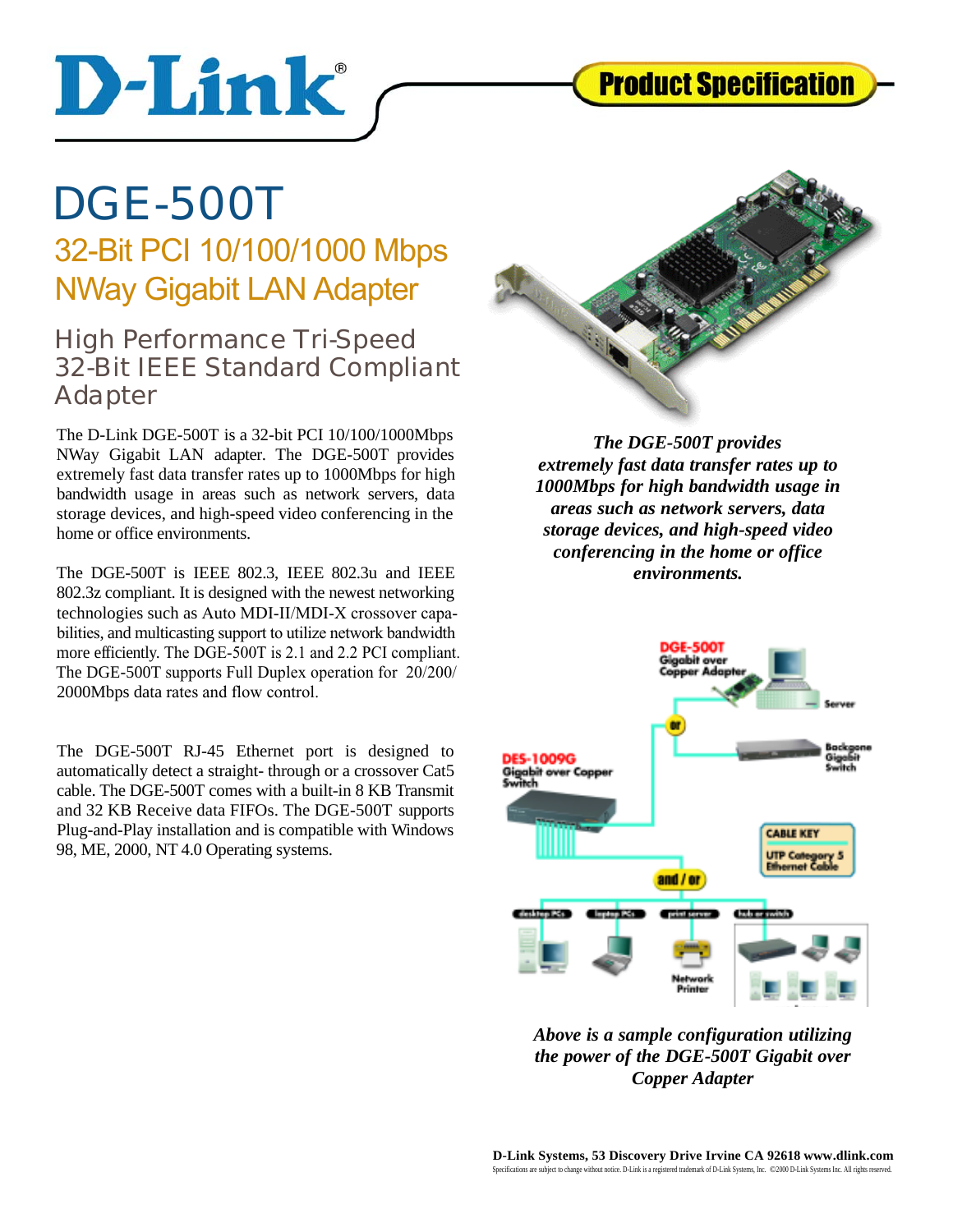

## **DGE-500T**

D-Link

### 32-Bit PCI 10/100/1000 Mbps NWay Gigabit LAN Adapter

#### High Performance Tri-Speed **32-Bit IEEE Standard Compliant A dapter**

The D-Link DGE-500T is a 32-bit PCI 10/100/1000Mbps NWay Gigabit LAN adapter. The DGE-500T provides extremely fast data transfer rates up to 1000Mbps for high bandwidth usage in areas such as network servers, data storage devices, and high-speed video conferencing in the home or office environments.

The DGE-500T is IEEE 802.3, IEEE 802.3u and IEEE 802.3z compliant. It is designed with the newest networking technologies such as Auto MDI-II/MDI-X crossover capabilities, and multicasting support to utilize network bandwidth more efficiently. The DGE-500T is 2.1 and 2.2 PCI compliant. The DGE-500T supports Full Duplex operation for 20/200/ 2000Mbps data rates and flow control.

The DGE-500T RJ-45 Ethernet port is designed to automatically detect a straight- through or a crossover Cat5 cable. The DGE-500T comes with a built-in 8 KB Transmit and 32 KB Receive data FIFOs. The DGE-500T supports Plug-and-Play installation and is compatible with Windows 98, ME, 2000, NT 4.0 Operating systems.



*The DGE-500T provides extremely fast data transfer rates up to 1000Mbps for high bandwidth usage in areas such as network servers, data storage devices, and high-speed video conferencing in the home or office environments.*



*Above is a sample configuration utilizing the power of the DGE-500T Gigabit over Copper Adapter*